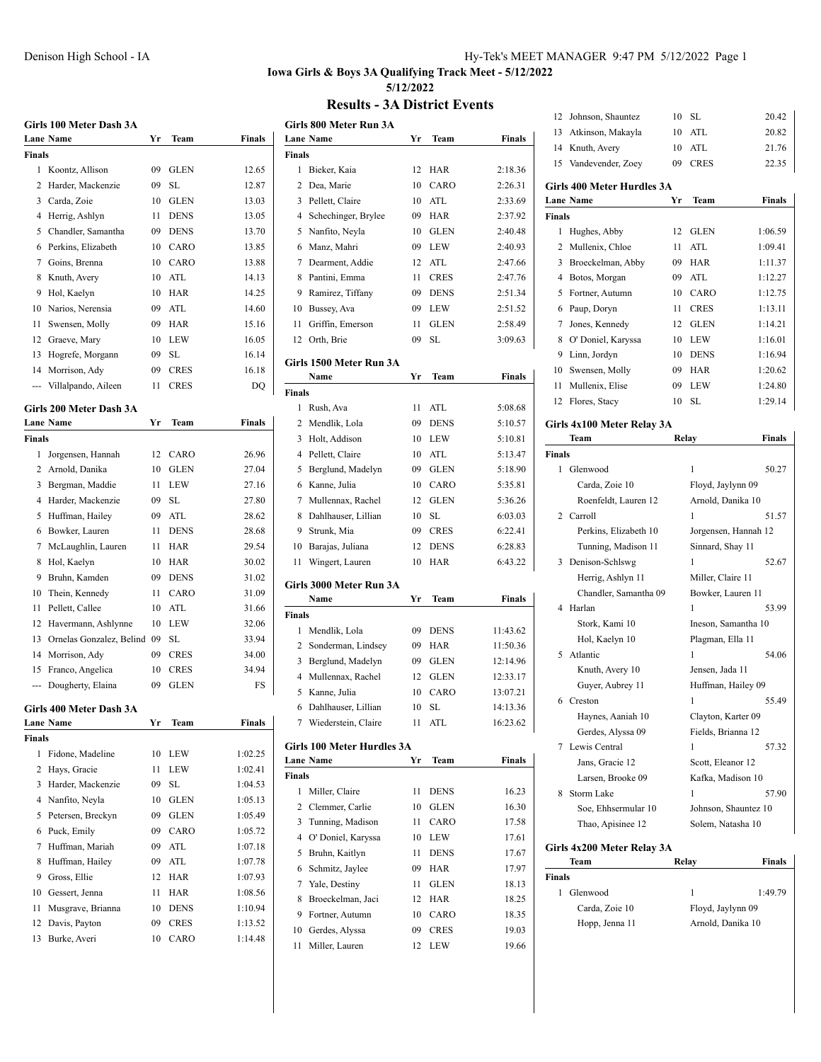### Denison High School - IA Hy-Tek's MEET MANAGER 9:47 PM 5/12/2022 Page 1

### **Iowa Girls & Boys 3A Qualifying Track Meet - 5/12/2022 5/12/2022**

### **Results - 3A District Events**

|               | Girls 100 Meter Dash 3A     |    |             |         |
|---------------|-----------------------------|----|-------------|---------|
|               | <b>Lane Name</b>            | Yr | Team        | Finals  |
| <b>Finals</b> |                             |    |             |         |
| 1             | Koontz, Allison             | 09 | <b>GLEN</b> | 12.65   |
| 2             | Harder, Mackenzie           | 09 | SL          | 12.87   |
| 3             | Carda, Zoie                 | 10 | <b>GLEN</b> | 13.03   |
| 4             | Herrig, Ashlyn              | 11 | <b>DENS</b> | 13.05   |
| 5             | Chandler, Samantha          | 09 | <b>DENS</b> | 13.70   |
| 6             | Perkins, Elizabeth          | 10 | CARO        | 13.85   |
| 7             | Goins, Brenna               | 10 | CARO        | 13.88   |
| 8             | Knuth, Avery                | 10 | ATL         | 14.13   |
| 9             | Hol, Kaelyn                 | 10 | <b>HAR</b>  | 14.25   |
| 10            | Narios, Nerensia            | 09 | ATL         | 14.60   |
| 11            | Swensen, Molly              | 09 | <b>HAR</b>  | 15.16   |
| 12            | Graeve, Mary                | 10 | <b>LEW</b>  | 16.05   |
| 13            | Hogrefe, Morgann            | 09 | SL          | 16.14   |
|               | 14 Morrison, Ady            | 09 | <b>CRES</b> | 16.18   |
| ---           | Villalpando, Aileen         | 11 | <b>CRES</b> | DQ      |
|               | Girls 200 Meter Dash 3A     |    |             |         |
|               | <b>Lane Name</b>            | Yr | Team        | Finals  |
| <b>Finals</b> |                             |    |             |         |
| 1             | Jorgensen, Hannah           | 12 | CARO        | 26.96   |
|               | 2 Arnold, Danika            | 10 | <b>GLEN</b> | 27.04   |
| 3             | Bergman, Maddie             | 11 | <b>LEW</b>  | 27.16   |
| 4             | Harder, Mackenzie           | 09 | SL          | 27.80   |
| 5             | Huffman, Hailey             | 09 | ATL         | 28.62   |
| 6             | Bowker, Lauren              | 11 | <b>DENS</b> | 28.68   |
| 7             | McLaughlin, Lauren          | 11 | HAR         | 29.54   |
| 8             | Hol, Kaelyn                 | 10 | <b>HAR</b>  | 30.02   |
| 9             | Bruhn, Kamden               | 09 | <b>DENS</b> | 31.02   |
| 10            | Thein, Kennedy              | 11 | CARO        | 31.09   |
| 11            | Pellett, Callee             | 10 | ATL         | 31.66   |
| 12            | Havermann, Ashlynne         | 10 | LEW         | 32.06   |
| 13            | Ornelas Gonzalez, Belind 09 |    | SL          | 33.94   |
| 14            | Morrison, Ady               | 09 | <b>CRES</b> | 34.00   |
| 15            | Franco, Angelica            | 10 | <b>CRES</b> | 34.94   |
|               | Dougherty, Elaina           | 09 | <b>GLEN</b> | FS      |
|               | Girls 400 Meter Dash 3A     |    |             |         |
|               | <b>Lane Name</b>            | Yr | Team        | Finals  |
| Finals        |                             |    |             |         |
| 1             | Fidone, Madeline            | 10 | LEW         | 1:02.25 |
| 2             | Hays, Gracie                | 11 | LEW         | 1:02.41 |
| 3             | Harder, Mackenzie           | 09 | SL          | 1:04.53 |
| 4             | Nanfito, Neyla              | 10 | GLEN        | 1:05.13 |
| 5             | Petersen, Breckyn           | 09 | GLEN        | 1:05.49 |
| 6             | Puck, Emily                 | 09 | CARO        | 1:05.72 |
| 7             | Huffman, Mariah             | 09 | ATL         | 1:07.18 |
| 8             | Huffman, Hailey             | 09 | ATL         | 1:07.78 |
| 9             | Gross, Ellie                | 12 | HAR         | 1:07.93 |
| 10            | Gessert, Jenna              | 11 | HAR         | 1:08.56 |
| 11            | Musgrave, Brianna           | 10 | <b>DENS</b> | 1:10.94 |
| 12            | Davis, Payton               | 09 | <b>CRES</b> | 1:13.52 |
| 13            | Burke, Averi                | 10 | CARO        | 1:14.48 |
|               |                             |    |             |         |

|                | Girls 800 Meter Run 3A<br><b>Lane Name</b> | Yr | Team        | Finals   |
|----------------|--------------------------------------------|----|-------------|----------|
| <b>Finals</b>  |                                            |    |             |          |
| 1              | Bieker, Kaia                               | 12 | <b>HAR</b>  | 2:18.36  |
| $\overline{c}$ | Dea, Marie                                 | 10 | CARO        | 2:26.31  |
| 3              | Pellett, Claire                            | 10 | ATL         | 2:33.69  |
| 4              | Schechinger, Brylee                        | 09 | <b>HAR</b>  | 2:37.92  |
| 5              | Nanfito, Neyla                             | 10 | <b>GLEN</b> | 2:40.48  |
| 6              | Manz, Mahri                                | 09 | <b>LEW</b>  | 2:40.93  |
| 7              | Dearment, Addie                            | 12 | ATL         | 2:47.66  |
| 8              | Pantini, Emma                              | 11 | <b>CRES</b> | 2:47.76  |
| 9              | Ramirez, Tiffany                           | 09 | <b>DENS</b> | 2:51.34  |
| 10             | Bussey, Ava                                | 09 | <b>LEW</b>  | 2:51.52  |
| 11             | Griffin, Emerson                           | 11 | GLEN        | 2:58.49  |
| 12             | Orth, Brie                                 | 09 | SL.         | 3:09.63  |
|                | Girls 1500 Meter Run 3A                    |    |             |          |
|                | Name                                       | Yr | Team        | Finals   |
| <b>Finals</b>  |                                            |    |             |          |
| 1              | Rush, Ava                                  | 11 | ATL         | 5:08.68  |
| 2              | Mendlik, Lola                              | 09 | <b>DENS</b> | 5:10.57  |
| 3              | Holt, Addison                              | 10 | <b>LEW</b>  | 5:10.81  |
| 4              | Pellett, Claire                            | 10 | ATL         | 5:13.47  |
| 5              | Berglund, Madelyn                          | 09 | <b>GLEN</b> | 5:18.90  |
| 6              | Kanne, Julia                               | 10 | CARO        | 5:35.81  |
| 7              | Mullennax, Rachel                          | 12 | <b>GLEN</b> | 5:36.26  |
| 8              | Dahlhauser, Lillian                        | 10 | SL          | 6:03.03  |
| 9              | Strunk, Mia                                | 09 | <b>CRES</b> | 6:22.41  |
| 10             | Barajas, Juliana                           | 12 | <b>DENS</b> | 6:28.83  |
| 11             | Wingert, Lauren                            | 10 | <b>HAR</b>  | 6:43.22  |
|                | Girls 3000 Meter Run 3A                    |    |             |          |
|                | Name                                       | Yr | Team        | Finals   |
| <b>Finals</b>  |                                            |    |             |          |
| 1              | Mendlik, Lola                              | 09 | DENS        | 11:43.62 |
|                | 2 Sonderman, Lindsey                       | 09 | <b>HAR</b>  | 11:50.36 |
| 3              | Berglund, Madelyn                          | 09 | GLEN        | 12:14.96 |
| 4              | Mullennax, Rachel                          | 12 | GLEN        | 12:33.17 |
| 5              | Kanne, Julia                               | 10 | CARO        | 13:07.21 |
| 6              | Dahlhauser, Lillian                        | 10 | <b>SL</b>   | 14:13.36 |
| 7              | Wiederstein, Claire                        | 11 | ATL         | 16:23.62 |
|                | Girls 100 Meter Hurdles 3A                 |    |             |          |
|                | <b>Lane Name</b>                           | Yr | Team        | Finals   |
| Finals         |                                            |    |             |          |
| $\mathbf{1}$   | Miller, Claire                             | 11 | DENS        | 16.23    |
| 2              | Clemmer, Carlie                            | 10 | GLEN        | 16.30    |
| 3              | Tunning, Madison                           | 11 | CARO        | 17.58    |
| 4              | O' Doniel, Karyssa                         | 10 | <b>LEW</b>  | 17.61    |
| 5              | Bruhn, Kaitlyn                             | 11 | <b>DENS</b> | 17.67    |
| 6              | Schmitz, Jaylee                            | 09 | <b>HAR</b>  | 17.97    |
| 7              | Yale, Destiny                              | 11 | <b>GLEN</b> | 18.13    |
| 8              | Broeckelman, Jaci                          | 12 | <b>HAR</b>  | 18.25    |
| 9              | Fortner, Autumn                            | 10 | CARO        | 18.35    |
| 10             | Gerdes, Alyssa                             | 09 | <b>CRES</b> | 19.03    |
| 11             | Miller, Lauren                             | 12 | LEW         | 19.66    |

| 13     | Atkinson, Makayla                                                             | 10    | ATL                  | 20.82         |  |  |
|--------|-------------------------------------------------------------------------------|-------|----------------------|---------------|--|--|
| 14     | Knuth, Avery                                                                  | 10    | ATL                  | 21.76         |  |  |
| 15     | Vandevender, Zoey                                                             | 09    | <b>CRES</b>          | 22.35         |  |  |
|        |                                                                               |       |                      |               |  |  |
|        | Girls 400 Meter Hurdles 3A<br><b>Finals</b><br><b>Lane Name</b><br>Yr<br>Team |       |                      |               |  |  |
| Finals |                                                                               |       |                      |               |  |  |
| 1      | Hughes, Abby                                                                  | 12    | <b>GLEN</b>          | 1:06.59       |  |  |
| 2      | Mullenix, Chloe                                                               | 11    | ATL                  | 1:09.41       |  |  |
| 3      | Broeckelman, Abby                                                             | 09    | <b>HAR</b>           | 1:11.37       |  |  |
| 4      | Botos, Morgan                                                                 | 09    | ATL                  | 1:12.27       |  |  |
| 5      | Fortner, Autumn                                                               | 10    | CARO                 | 1:12.75       |  |  |
| 6      | Paup, Doryn                                                                   | 11    | <b>CRES</b>          | 1:13.11       |  |  |
| 7      | Jones, Kennedy                                                                | 12    | <b>GLEN</b>          | 1:14.21       |  |  |
| 8      | O' Doniel, Karyssa                                                            | 10    | LEW                  | 1:16.01       |  |  |
| 9      | Linn, Jordyn                                                                  | 10    | <b>DENS</b>          | 1:16.94       |  |  |
| 10     | Swensen, Molly                                                                | 09    | HAR                  | 1:20.62       |  |  |
| 11     | Mullenix, Elise                                                               | 09    | LEW                  | 1:24.80       |  |  |
| 12     | Flores, Stacy                                                                 | 10    | SL                   | 1:29.14       |  |  |
|        |                                                                               |       |                      |               |  |  |
|        | Girls 4x100 Meter Relay 3A                                                    |       |                      |               |  |  |
|        | Team                                                                          | Relay |                      | <b>Finals</b> |  |  |
| Finals |                                                                               |       |                      |               |  |  |
| 1      | Glenwood                                                                      |       | 1                    | 50.27         |  |  |
|        | Carda, Zoie 10                                                                |       | Floyd, Jaylynn 09    |               |  |  |
|        | Roenfeldt, Lauren 12                                                          |       | Arnold, Danika 10    |               |  |  |
| 2      | Carroll                                                                       |       | 1                    | 51.57         |  |  |
|        | Perkins, Elizabeth 10                                                         |       | Jorgensen, Hannah 12 |               |  |  |
|        | Tunning, Madison 11                                                           |       | Sinnard, Shay 11     |               |  |  |
| 3      | Denison-Schlswg                                                               |       | 1                    | 52.67         |  |  |
|        | Herrig, Ashlyn 11                                                             |       | Miller, Claire 11    |               |  |  |
|        | Chandler, Samantha 09                                                         |       | Bowker, Lauren 11    |               |  |  |
| 4      | Harlan                                                                        |       | 1                    | 53.99         |  |  |
|        | Stork, Kami 10                                                                |       | Ineson, Samantha 10  |               |  |  |
|        | Hol, Kaelyn 10                                                                |       | Plagman, Ella 11     |               |  |  |
| 5      | Atlantic                                                                      |       | 1                    | 54.06         |  |  |
|        | Knuth, Avery 10                                                               |       | Jensen, Jada 11      |               |  |  |
|        | Guyer, Aubrey 11                                                              |       | Huffman, Hailey 09   |               |  |  |
| 6      | Creston                                                                       |       | 1                    | 55.49         |  |  |
|        | Haynes, Aaniah 10                                                             |       | Clayton, Karter 09   |               |  |  |
|        | Gerdes, Alyssa 09                                                             |       | Fields, Brianna 12   |               |  |  |
| 7      | Lewis Central                                                                 |       | 1                    | 57.32         |  |  |
|        | Jans, Gracie 12                                                               |       | Scott, Eleanor 12    |               |  |  |
|        | Larsen, Brooke 09                                                             |       | Kafka, Madison 10    |               |  |  |
| 8      | Storm Lake                                                                    |       | 1                    | 57.90         |  |  |
|        | Soe, Ehhsermular 10                                                           |       | Johnson, Shauntez 10 |               |  |  |
|        | Thao, Apisinee 12                                                             |       | Solem, Natasha 10    |               |  |  |
|        |                                                                               |       |                      |               |  |  |

12 Johnson, Shauntez 10 SL 20.42 |

### **Girls 4x200 Meter Relay 3A**

| Team           | Relay             | <b>Finals</b> |
|----------------|-------------------|---------------|
| Finals         |                   |               |
| Glenwood       | 1                 | 1:49.79       |
| Carda, Zoie 10 | Floyd, Jaylynn 09 |               |
| Hopp, Jenna 11 | Arnold, Danika 10 |               |
|                |                   |               |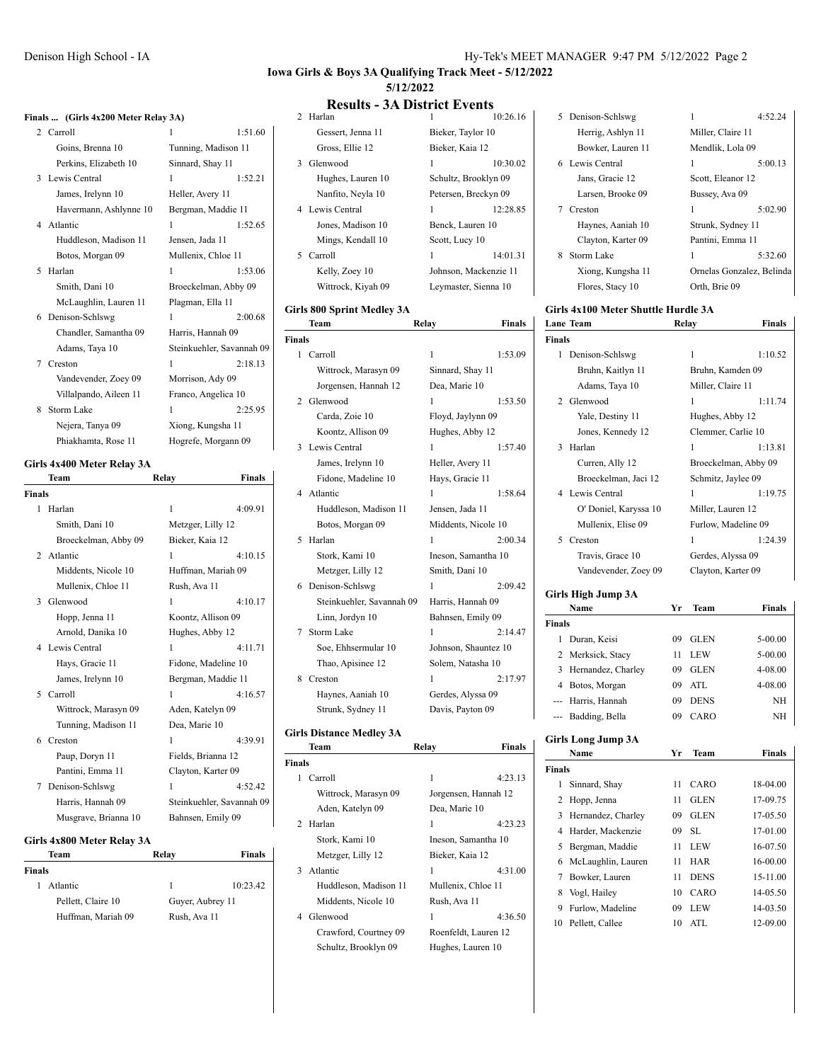### **Iowa Girls & Boys 3A Qualifying Track Meet - 5/12/2022 5/12/2022**

#### **Results - 3A District Events**<br> $\frac{1}{10:26.16}$ 2 Harlan

|           | Finals  (Girls 4x200 Meter Relay 3A) |
|-----------|--------------------------------------|
| 2 Carroll |                                      |

|   | 2 Carroll              | 1                         | 1:51.60 |
|---|------------------------|---------------------------|---------|
|   | Goins, Brenna 10       | Tunning, Madison 11       |         |
|   | Perkins, Elizabeth 10  | Sinnard, Shay 11          |         |
|   | 3 Lewis Central        | 1                         | 1:52.21 |
|   | James, Irelynn 10      | Heller, Avery 11          |         |
|   | Havermann, Ashlynne 10 | Bergman, Maddie 11        |         |
|   | 4 Atlantic             | 1                         | 1:52.65 |
|   | Huddleson, Madison 11  | Jensen, Jada 11           |         |
|   | Botos, Morgan 09       | Mullenix, Chloe 11        |         |
| 5 | Harlan                 | 1                         | 1:53.06 |
|   | Smith, Dani 10         | Broeckelman, Abby 09      |         |
|   | McLaughlin, Lauren 11  | Plagman, Ella 11          |         |
| 6 | Denison-Schlswg        | 1                         | 2:00.68 |
|   | Chandler, Samantha 09  | Harris, Hannah 09         |         |
|   | Adams, Taya 10         | Steinkuehler, Savannah 09 |         |
| 7 | Creston                | 1                         | 2:18.13 |
|   | Vandevender, Zoey 09   | Morrison, Ady 09          |         |
|   | Villalpando, Aileen 11 | Franco, Angelica 10       |         |
| 8 | <b>Storm Lake</b>      | 1                         | 2:25.95 |
|   | Nejera, Tanya 09       | Xiong, Kungsha 11         |         |
|   | Phiakhamta, Rose 11    | Hogrefe, Morgann 09       |         |

### **Girls 4x400 Meter Relay 3A**

|        | Team                 | Relay              | Finals                    |
|--------|----------------------|--------------------|---------------------------|
| Finals |                      |                    |                           |
| 1.     | Harlan               | 1                  | 4:09.91                   |
|        | Smith, Dani 10       | Metzger, Lilly 12  |                           |
|        | Broeckelman, Abby 09 | Bieker, Kaia 12    |                           |
|        | 2. Atlantic          | 1                  | 4:10.15                   |
|        | Middents, Nicole 10  |                    | Huffman, Mariah 09        |
|        | Mullenix, Chloe 11   | Rush, Ava 11       |                           |
| 3      | Glenwood             | 1                  | 4:10.17                   |
|        | Hopp, Jenna 11       | Koontz, Allison 09 |                           |
|        | Arnold, Danika 10    | Hughes, Abby 12    |                           |
|        | 4 Lewis Central      | 1                  | 4:11.71                   |
|        | Hays, Gracie 11      |                    | Fidone, Madeline 10       |
|        | James, Irelynn 10    |                    | Bergman, Maddie 11        |
|        | 5 Carroll            | 1                  | 4:16.57                   |
|        | Wittrock, Marasyn 09 | Aden, Katelyn 09   |                           |
|        | Tunning, Madison 11  | Dea, Marie 10      |                           |
|        | 6 Creston            | 1                  | 4:39.91                   |
|        | Paup, Doryn 11       | Fields, Brianna 12 |                           |
|        | Pantini, Emma 11     | Clayton, Karter 09 |                           |
| 7      | Denison-Schlswg      | 1                  | 4:52.42                   |
|        | Harris, Hannah 09    |                    | Steinkuehler, Savannah 09 |
|        | Musgrave, Brianna 10 | Bahnsen, Emily 09  |                           |
|        |                      |                    |                           |

### **Girls 4x800 Meter Relay 3A**

| Team          |                    | Relay            | <b>Finals</b> |
|---------------|--------------------|------------------|---------------|
| <b>Finals</b> |                    |                  |               |
| 1             | Atlantic           | 1                | 10:23.42      |
|               | Pellett, Claire 10 | Guyer, Aubrey 11 |               |
|               | Huffman, Mariah 09 | Rush, Ava 11     |               |

|    | Gessert, Jenna 11  | Bieker, Taylor 10 |                       |
|----|--------------------|-------------------|-----------------------|
|    | Gross, Ellie 12    | Bieker, Kaia 12   |                       |
| 3. | Glenwood           | 1                 | 10:30.02              |
|    | Hughes, Lauren 10  |                   | Schultz, Brooklyn 09  |
|    | Nanfito, Neyla 10  |                   | Petersen, Breckyn 09  |
|    | 4 Lewis Central    | 1                 | 12:28.85              |
|    | Jones, Madison 10  | Benck, Lauren 10  |                       |
|    | Mings, Kendall 10  | Scott, Lucy 10    |                       |
| 5. | Carroll            | 1                 | 14:01.31              |
|    | Kelly, Zoey 10     |                   | Johnson, Mackenzie 11 |
|    | Wittrock, Kiyah 09 |                   | Leymaster, Sienna 10  |
|    |                    |                   |                       |

### **Girls 800 Sprint Medley 3A**

| Team                    |                      | <b>Finals</b>                      |
|-------------------------|----------------------|------------------------------------|
| <b>Finals</b>           |                      |                                    |
| Carroll<br>$\mathbf{1}$ | 1                    | 1:53.09                            |
| Wittrock, Marasyn 09    | Sinnard, Shay 11     |                                    |
| Jorgensen, Hannah 12    | Dea, Marie 10        |                                    |
| Glenwood                | 1                    | 1:53.50                            |
| Carda, Zoie 10          | Floyd, Jaylynn 09    |                                    |
| Koontz, Allison 09      | Hughes, Abby 12      |                                    |
| Lewis Central           | 1                    | 1:57.40                            |
| James, Irelynn 10       | Heller, Avery 11     |                                    |
| Fidone, Madeline 10     | Hays, Gracie 11      |                                    |
| 4 Atlantic              | 1                    | 1:58.64                            |
| Huddleson, Madison 11   | Jensen, Jada 11      |                                    |
| Botos, Morgan 09        | Middents, Nicole 10  |                                    |
| Harlan                  | 1                    | 2:00.34                            |
| Stork, Kami 10          | Ineson, Samantha 10  |                                    |
| Metzger, Lilly 12       | Smith, Dani 10       |                                    |
| 6 Denison-Schlswg       | 1                    | 2:09.42                            |
|                         | Harris, Hannah 09    |                                    |
| Linn, Jordyn 10         | Bahnsen, Emily 09    |                                    |
| Storm Lake              | 1                    | 2:14.47                            |
| Soe, Ehhsermular 10     | Johnson, Shauntez 10 |                                    |
| Thao, Apisinee 12       | Solem, Natasha 10    |                                    |
| Creston                 | 1                    | 2:17.97                            |
| Haynes, Aaniah 10       | Gerdes, Alyssa 09    |                                    |
| Strunk, Sydney 11       | Davis, Payton 09     |                                    |
|                         |                      | Relay<br>Steinkuehler, Savannah 09 |

## **Girls Distance Medley 3A**

|               | Team                  | Relav                | Finals  |
|---------------|-----------------------|----------------------|---------|
| <b>Finals</b> |                       |                      |         |
| 1             | Carroll               | 1                    | 4:23.13 |
|               | Wittrock, Marasyn 09  | Jorgensen, Hannah 12 |         |
|               | Aden, Katelyn 09      | Dea, Marie 10        |         |
|               | 2 Harlan              | 1                    | 4:23.23 |
|               | Stork, Kami 10        | Ineson, Samantha 10  |         |
|               | Metzger, Lilly 12     | Bieker, Kaia 12      |         |
|               | 3 Atlantic            | 1                    | 4:31.00 |
|               | Huddleson, Madison 11 | Mullenix, Chloe 11   |         |
|               | Middents, Nicole 10   | Rush, Ava 11         |         |
| 4             | Glenwood              | 1                    | 4:36.50 |
|               | Crawford, Courtney 09 | Roenfeldt, Lauren 12 |         |
|               | Schultz, Brooklyn 09  | Hughes, Lauren 10    |         |

|   | 5 Denison-Schlswg  | 1                         | 4:52.24 |
|---|--------------------|---------------------------|---------|
|   | Herrig, Ashlyn 11  | Miller, Claire 11         |         |
|   | Bowker, Lauren 11  | Mendlik, Lola 09          |         |
|   | 6 Lewis Central    | 1                         | 5:00.13 |
|   | Jans, Gracie 12    | Scott, Eleanor 12         |         |
|   | Larsen, Brooke 09  | Bussey, Ava 09            |         |
|   | Creston            | 1                         | 5:02.90 |
|   | Haynes, Aaniah 10  | Strunk, Sydney 11         |         |
|   | Clayton, Karter 09 | Pantini, Emma 11          |         |
| 8 | Storm Lake         | 1                         | 5:32.60 |
|   | Xiong, Kungsha 11  | Ornelas Gonzalez, Belinda |         |
|   | Flores, Stacy 10   | Orth. Brie 09             |         |

### **Girls 4x100 Meter Shuttle Hurdle 3A Lane Team Relay Finals**

| Finals        |                       |    |                      |               |
|---------------|-----------------------|----|----------------------|---------------|
| 1             | Denison-Schlswg       |    | 1                    | 1:10.52       |
|               | Bruhn, Kaitlyn 11     |    | Bruhn, Kamden 09     |               |
|               | Adams, Taya 10        |    | Miller, Claire 11    |               |
|               | 2 Glenwood            |    | 1                    | 1:11.74       |
|               | Yale, Destiny 11      |    | Hughes, Abby 12      |               |
|               | Jones, Kennedy 12     |    | Clemmer, Carlie 10   |               |
| 3             | Harlan                |    | 1                    | 1:13.81       |
|               | Curren, Ally 12       |    | Broeckelman, Abby 09 |               |
|               | Broeckelman, Jaci 12  |    | Schmitz, Jaylee 09   |               |
|               | 4 Lewis Central       |    | 1                    | 1:19.75       |
|               | O' Doniel, Karyssa 10 |    | Miller, Lauren 12    |               |
|               | Mullenix, Elise 09    |    | Furlow, Madeline 09  |               |
| 5             | Creston               |    | 1                    | 1:24.39       |
|               | Travis, Grace 10      |    | Gerdes, Alyssa 09    |               |
|               | Vandevender, Zoey 09  |    | Clayton, Karter 09   |               |
|               | Girls High Jump 3A    |    |                      |               |
|               | Name                  | Yг | <b>Team</b>          | <b>Finals</b> |
| <b>Finals</b> |                       |    |                      |               |
| 1.            | Duran Keisi           | 09 | GLEN                 | 5-00.00       |

| Duran, Keisi         | 09 | GLEN        | $5 - 00.00$ |
|----------------------|----|-------------|-------------|
| 2 Merksick, Stacy    | 11 | <b>LEW</b>  | 5-00.00     |
| 3 Hernandez, Charley | 09 | <b>GLEN</b> | 4-08.00     |
| 4 Botos, Morgan      | 09 | ATL         | 4-08.00     |
| --- Harris, Hannah   | 09 | <b>DENS</b> | NH          |
| --- Badding, Bella   | 09 | CARO        | NH          |

### **Girls Long Jump 3A**

|               | Name               | Yг | <b>Team</b> | Finals   |
|---------------|--------------------|----|-------------|----------|
| <b>Finals</b> |                    |    |             |          |
| 1             | Sinnard, Shay      | 11 | CARO        | 18-04.00 |
|               | 2 Hopp, Jenna      | 11 | <b>GLEN</b> | 17-09.75 |
| 3             | Hernandez, Charley | 09 | <b>GLEN</b> | 17-05.50 |
| 4             | Harder, Mackenzie  | 09 | SL.         | 17-01.00 |
| 5             | Bergman, Maddie    | 11 | LEW         | 16-07.50 |
| 6             | McLaughlin, Lauren | 11 | <b>HAR</b>  | 16-00.00 |
| 7             | Bowker, Lauren     | 11 | <b>DENS</b> | 15-11.00 |
| 8             | Vogl, Hailey       | 10 | CARO        | 14-05.50 |
| 9             | Furlow, Madeline   | 09 | <b>LEW</b>  | 14-03.50 |
| 10            | Pellett, Callee    | 10 | ATL         | 12-09.00 |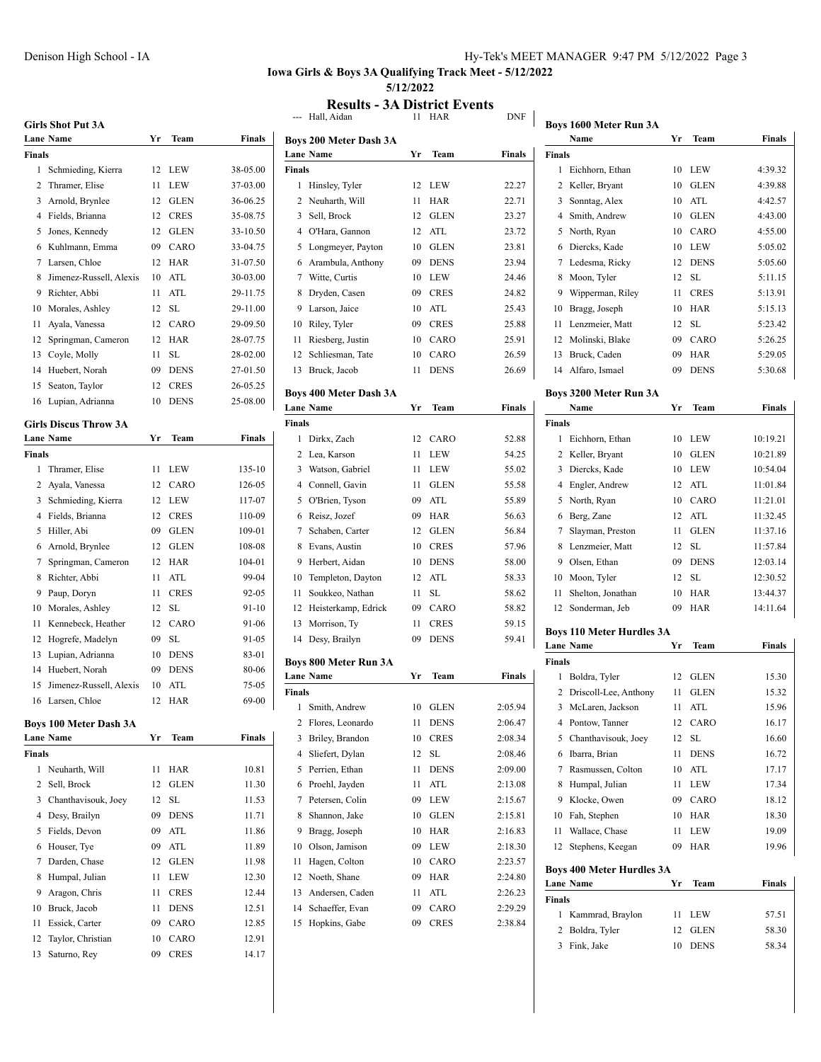### **Iowa Girls & Boys 3A Qualifying Track Meet - 5/12/2022 5/12/2022**

**Results - 3A District Events**<br>--- Hall, Aidan 11 HAR DNF

|        | <b>Girls Shot Put 3A</b>      |    |             |            |       |
|--------|-------------------------------|----|-------------|------------|-------|
|        | <b>Lane Name</b>              | Yr | Team        | Finals     | Boys  |
| Finals |                               |    |             |            | Lane  |
| 1      | Schmieding, Kierra            | 12 | LEW         | 38-05.00   | Final |
| 2      | Thramer, Elise                | 11 | LEW         | 37-03.00   | 1     |
| 3      | Arnold, Brynlee               | 12 | <b>GLEN</b> | 36-06.25   | 2     |
| 4      | Fields, Brianna               | 12 | <b>CRES</b> | 35-08.75   | 3     |
| 5      | Jones, Kennedy                | 12 | <b>GLEN</b> | 33-10.50   | 4     |
| 6      | Kuhlmann, Emma                | 09 | CARO        | 33-04.75   | 5     |
| 7      | Larsen, Chloe                 | 12 | HAR         | 31-07.50   | 6     |
| 8      | Jimenez-Russell, Alexis       | 10 | ATL         | 30-03.00   | 7     |
| 9      | Richter, Abbi                 | 11 | ATL         | 29-11.75   | 8     |
| 10     | Morales, Ashley               | 12 | <b>SL</b>   | 29-11.00   | 9     |
| 11     | Ayala, Vanessa                | 12 | CARO        | 29-09.50   | 10    |
| 12     | Springman, Cameron            | 12 | <b>HAR</b>  | 28-07.75   | 11    |
| 13     | Coyle, Molly                  | 11 | SL          | 28-02.00   | 12    |
| 14     | Huebert, Norah                | 09 | <b>DENS</b> | 27-01.50   | 13    |
| 15     | Seaton, Taylor                | 12 | <b>CRES</b> | 26-05.25   |       |
| 16     | Lupian, Adrianna              | 10 | <b>DENS</b> | 25-08.00   | Boys  |
|        |                               |    |             |            | Lane  |
|        | <b>Girls Discus Throw 3A</b>  |    |             |            | Final |
|        | <b>Lane Name</b>              | Yr | Team        | Finals     | 1     |
| Finals |                               |    |             |            | 2     |
| 1      | Thramer, Elise                | 11 | <b>LEW</b>  | 135-10     | 3     |
| 2      | Ayala, Vanessa                | 12 | CARO        | 126-05     | 4     |
| 3      | Schmieding, Kierra            | 12 | LEW         | 117-07     | 5     |
| 4      | Fields, Brianna               | 12 | <b>CRES</b> | 110-09     | 6     |
| 5      | Hiller, Abi                   | 09 | <b>GLEN</b> | 109-01     | 7     |
| 6      | Arnold, Brynlee               | 12 | <b>GLEN</b> | 108-08     | 8     |
| 7      | Springman, Cameron            | 12 | HAR         | 104-01     | 9     |
| 8      | Richter, Abbi                 | 11 | ATL         | 99-04      | 10    |
| 9      | Paup, Doryn                   | 11 | <b>CRES</b> | 92-05      | 11    |
| 10     | Morales, Ashley               | 12 | SL          | 91-10      | 12    |
| 11     | Kennebeck, Heather            | 12 | CARO        | 91-06      | 13    |
| 12     | Hogrefe, Madelyn              | 09 | SL          | 91-05      | 14    |
| 13     | Lupian, Adrianna              | 10 | <b>DENS</b> | 83-01      | Boys  |
| 14     | Huebert, Norah                | 09 | <b>DENS</b> | 80-06      | Lane  |
| 15     | Jimenez-Russell, Alexis       | 10 | ATL         | 75-05      | Final |
|        | 16 Larsen, Chloe              | 12 | HAR         | 69-00<br>I | 1     |
|        | <b>Boys 100 Meter Dash 3A</b> |    |             |            | 2     |
|        | Lane Name                     | Yr | Team        | Finals     | 3     |
| Finals |                               |    |             |            | 4     |
| 1      | Neuharth, Will                | 11 | HAR         | 10.81      | 5     |
| 2      | Sell, Brock                   | 12 | <b>GLEN</b> | 11.30      | 6     |
| 3      | Chanthavisouk, Joey           | 12 | SL          | 11.53      | 7     |
| 4      | Desy, Brailyn                 | 09 | <b>DENS</b> | 11.71      | 8     |
| 5      | Fields, Devon                 | 09 | ATL         | 11.86      | 9     |
| 6      | Houser, Tye                   | 09 | ATL         | 11.89      | 10    |
| 7      | Darden, Chase                 | 12 | GLEN        | 11.98      | 11    |
| 8      | Humpal, Julian                | 11 | LEW         | 12.30      | 12    |
| 9      | Aragon, Chris                 | 11 | <b>CRES</b> | 12.44      | 13    |
| 10     | Bruck, Jacob                  | 11 | <b>DENS</b> | 12.51      | 14    |
| 11     | Essick, Carter                | 09 | CARO        | 12.85      | 15    |
| 12     | Taylor, Christian             | 10 | CARO        | 12.91      |       |
| 13     | Saturno, Rey                  | 09 | <b>CRES</b> | 14.17      |       |

|                | Boys 200 Meter Dash 3A                     |      |                      |         |
|----------------|--------------------------------------------|------|----------------------|---------|
|                | <b>Lane Name</b>                           | Yr   | Team                 | Finals  |
| <b>Finals</b>  |                                            |      |                      |         |
| 1              | Hinsley, Tyler                             | 12   | LEW                  | 22.27   |
| 2              | Neuharth, Will                             | 11   | HAR                  | 22.71   |
| 3              | Sell, Brock                                | 12   | <b>GLEN</b>          | 23.27   |
| 4              | O'Hara, Gannon                             | 12   | ATL                  | 23.72   |
| 5              | Longmeyer, Payton                          | 10   | <b>GLEN</b>          | 23.81   |
| 6              | Arambula, Anthony                          | 09   | <b>DENS</b>          | 23.94   |
| 7              | Witte, Curtis                              | 10   | LEW                  | 24.46   |
| 8              | Dryden, Casen                              | 09   | <b>CRES</b>          | 24.82   |
| 9              | Larson, Jaice                              | 10   | $\operatorname{ATL}$ | 25.43   |
| 10             | Riley, Tyler                               | 09   | <b>CRES</b>          | 25.88   |
| 11             | Riesberg, Justin                           | 10   | CARO                 | 25.91   |
| 12             | Schliesman, Tate                           | 10   | CARO                 | 26.59   |
| 13             | Bruck, Jacob                               | 11   | DENS                 | 26.69   |
|                |                                            |      |                      |         |
|                | Boys 400 Meter Dash 3A<br><b>Lane Name</b> | Yr   | Team                 | Finals  |
| <b>Finals</b>  |                                            |      |                      |         |
| 1              | Dirkx, Zach                                | 12   | CARO                 | 52.88   |
| 2              | Lea, Karson                                | 11   | <b>LEW</b>           | 54.25   |
| 3              | Watson, Gabriel                            | 11   | LEW                  | 55.02   |
| $\overline{4}$ | Connell, Gavin                             | 11   | <b>GLEN</b>          | 55.58   |
| 5              | O'Brien, Tyson                             | 09   | ATL                  | 55.89   |
| 6              | Reisz, Jozef                               | 09   | HAR                  | 56.63   |
| 7              | Schaben, Carter                            | 12   | <b>GLEN</b>          | 56.84   |
| 8              | Evans, Austin                              | 10   | <b>CRES</b>          | 57.96   |
| 9              | Herbert, Aidan                             | 10   | <b>DENS</b>          | 58.00   |
| 10             | Templeton, Dayton                          | 12   | ATL                  | 58.33   |
| 11             | Soukkeo, Nathan                            | 11   | SL                   | 58.62   |
| 12             | Heisterkamp, Edrick                        | 09   | CARO                 | 58.82   |
| 13             | Morrison, Ty                               | 11   | <b>CRES</b>          | 59.15   |
| 14             |                                            | 09   | DENS                 | 59.41   |
|                | Desy, Brailyn                              |      |                      |         |
|                | <b>Boys 800 Meter Run 3A</b>               |      |                      |         |
|                | <b>Lane Name</b>                           | Yr   | Team                 | Finals  |
| Finals         |                                            |      |                      |         |
| 1              | Smith, Andrew                              | 10   | <b>GLEN</b>          | 2:05.94 |
|                | 2 Flores, Leonardo                         | 11 - | <b>DENS</b>          | 2:06.47 |
| 3              | Briley, Brandon                            | 10   | <b>CRES</b>          | 2:08.34 |
| 4              | Sliefert, Dylan                            | 12   | SL                   | 2:08.46 |
| 5              | Perrien, Ethan                             | 11   | <b>DENS</b>          | 2:09.00 |
| 6              | Proehl, Jayden                             | 11   | ATL                  | 2:13.08 |
| 7              | Petersen, Colin                            | 09   | LEW                  | 2:15.67 |
| 8              | Shannon, Jake                              | 10   | <b>GLEN</b>          | 2:15.81 |
| 9              | Bragg, Joseph                              | 10   | HAR                  | 2:16.83 |
| 10             | Olson, Jamison                             | 09   | LEW                  | 2:18.30 |
| 11             | Hagen, Colton                              | 10   | CARO                 | 2:23.57 |
| 12             | Noeth, Shane                               | 09   | HAR                  | 2:24.80 |
| 13             | Andersen, Caden                            | 11   | ATL                  | 2:26.23 |
| 14             | Schaeffer, Evan                            | 09   | CARO                 | 2:29.29 |
| 15             | Hopkins, Gabe                              | 09   | CRES                 | 2:38.84 |

| <b>DNF</b> | Boys 1600 Meter Run 3A                        |          |                    |                    |
|------------|-----------------------------------------------|----------|--------------------|--------------------|
|            | Name                                          | Yr       | Team               | <b>Finals</b>      |
| Finals     | Finals<br>1                                   |          |                    |                    |
| 22.27      | Eichhorn, Ethan<br>2<br>Keller, Bryant        | 10<br>10 | LEW<br><b>GLEN</b> | 4:39.32<br>4:39.88 |
| 22.71      | Sonntag, Alex<br>3                            | 10       | ATL                | 4:42.57            |
| 23.27      | Smith, Andrew<br>4                            | 10       | <b>GLEN</b>        | 4:43.00            |
| 23.72      | 5<br>North, Ryan                              | 10       | CARO               | 4:55.00            |
| 23.81      | Diercks, Kade<br>6                            | 10       | LEW                | 5:05.02            |
| 23.94      | 7<br>Ledesma, Ricky                           | 12       | DENS               | 5:05.60            |
| 24.46      | 8<br>Moon, Tyler                              | 12       | SL                 | 5:11.15            |
| 24.82      | 9<br>Wipperman, Riley                         | 11       | <b>CRES</b>        | 5:13.91            |
| 25.43      | Bragg, Joseph<br>10                           | 10       | HAR                | 5:15.13            |
| 25.88      | 11<br>Lenzmeier, Matt                         | 12       | SL                 | 5:23.42            |
| 25.91      | Molinski, Blake<br>12                         | 09       | CARO               | 5:26.25            |
| 26.59      | Bruck, Caden<br>13                            | 09       | HAR                | 5:29.05            |
| 26.69      | Alfaro, Ismael<br>14                          | 09       | <b>DENS</b>        | 5:30.68            |
|            |                                               |          |                    |                    |
|            | Boys 3200 Meter Run 3A                        |          |                    |                    |
| Finals     | Name<br>Finals                                | Yr       | Team               | Finals             |
| 52.88      | 1<br>Eichhorn, Ethan                          | 10       | LEW                | 10:19.21           |
| 54.25      | 2<br>Keller, Bryant                           | 10       | GLEN               | 10:21.89           |
| 55.02      | 3<br>Diercks, Kade                            | 10       | LEW                | 10:54.04           |
| 55.58      | 4<br>Engler, Andrew                           | 12       | ATL                | 11:01.84           |
| 55.89      | 5<br>North, Ryan                              | 10       | CARO               | 11:21.01           |
| 56.63      | Berg, Zane<br>6                               | 12       | ATL                | 11:32.45           |
| 56.84      | 7<br>Slayman, Preston                         | 11       | <b>GLEN</b>        | 11:37.16           |
| 57.96      | Lenzmeier, Matt<br>8                          | 12       | <b>SL</b>          | 11:57.84           |
| 58.00      | 9<br>Olsen, Ethan                             | 09       | <b>DENS</b>        | 12:03.14           |
| 58.33      | 10<br>Moon, Tyler                             | 12       | SL                 | 12:30.52           |
| 58.62      | Shelton, Jonathan<br>11                       | 10       | <b>HAR</b>         | 13:44.37           |
| 58.82      | 12<br>Sonderman, Jeb                          | 09       | HAR                | 14:11.64           |
| 59.15      | <b>Boys 110 Meter Hurdles 3A</b>              |          |                    |                    |
| 59.41      | <b>Lane Name</b>                              | Yr       | Team               | Finals             |
|            | Finals                                        |          |                    |                    |
| Finals     | 1<br>Boldra, Tyler                            | 12       | GLEN               | 15.30              |
|            | 2<br>Driscoll-Lee, Anthony                    | 11       | <b>GLEN</b>        | 15.32              |
| :05.94     | 3 McLaren, Jackson                            |          | 11 ATL             | 15.96              |
| :06.47     | Pontow, Tanner<br>4                           | 12       | CARO               | 16.17              |
| :08.34     | Chanthavisouk, Joey<br>5                      | 12       | SL                 | 16.60              |
| :08.46     | Ibarra, Brian<br>6                            | 11       | <b>DENS</b>        | 16.72              |
| :09.00     | Rasmussen, Colton<br>7                        | 10       | ATL                | 17.17              |
| :13.08     | Humpal, Julian<br>8                           | 11       | LEW                | 17.34              |
| :15.67     | Klocke, Owen<br>9                             | 09       | CARO               | 18.12              |
| :15.81     | 10<br>Fah, Stephen                            | 10       | HAR                | 18.30              |
| :16.83     | Wallace, Chase<br>11                          | 11       | LEW                | 19.09              |
| :18.30     | 12<br>Stephens, Keegan                        | 09       | <b>HAR</b>         | 19.96              |
| :23.57     |                                               |          |                    |                    |
| :24.80     | Boys 400 Meter Hurdles 3A<br><b>Lane Name</b> | Yr       | Team               | Finals             |
| :26.23     | Finals                                        |          |                    |                    |
| :29.29     | Kammrad, Braylon<br>1                         | 11       | LEW                | 57.51              |
| :38.84     | 2<br>Boldra, Tyler                            | 12       | GLEN               | 58.30              |
|            | 3<br>Fink, Jake                               | 10       | DENS               | 58.34              |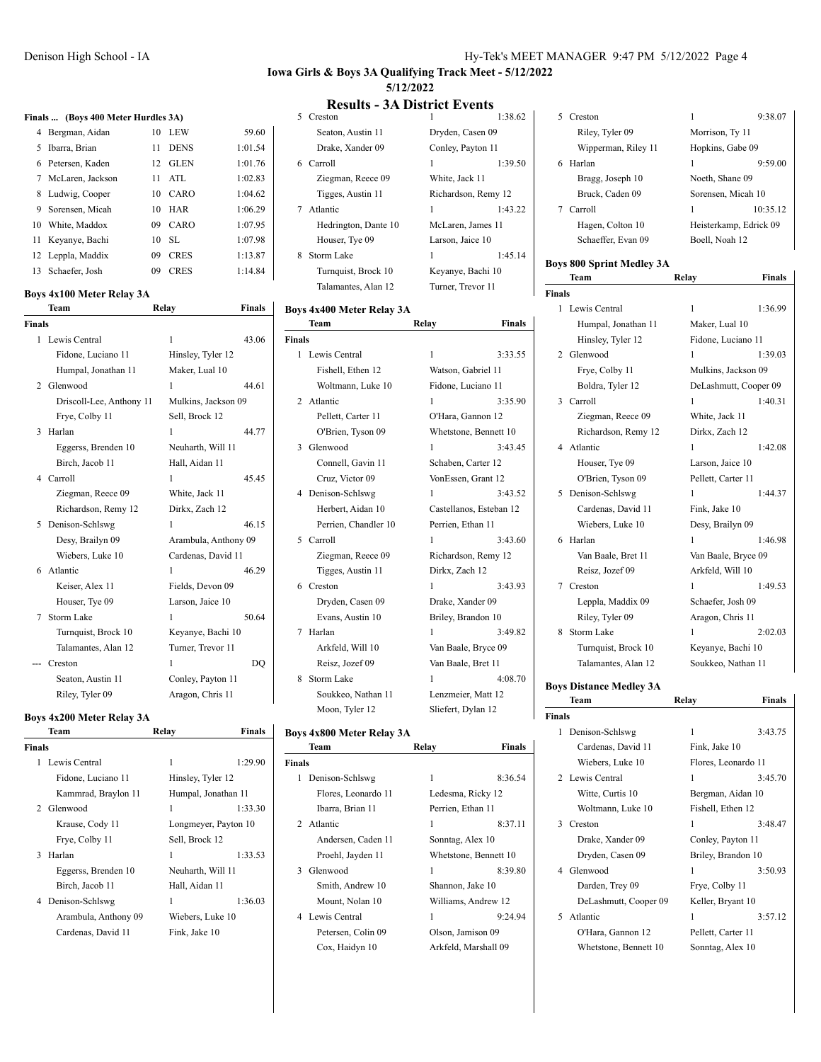### **Iowa Girls & Boys 3A Qualifying Track Meet - 5/12/2022 5/12/2022**

## **Results - 3A District Events**<br>
<sup>5</sup> Creston 1<br>
<sup>1:38.62</sup>

### **Finals ... (Boys 400 Meter Hurdles 3A)**

| 4 Bergman, Aidan   | 10  | <b>LEW</b>  | 59.60   |
|--------------------|-----|-------------|---------|
| 5 Ibarra, Brian    | 11  | <b>DENS</b> | 1:01.54 |
| 6 Petersen, Kaden  | 12. | <b>GLEN</b> | 1:01.76 |
| 7 McLaren, Jackson | 11  | ATL         | 1:02.83 |
| 8 Ludwig, Cooper   | 10  | CARO        | 1:04.62 |
| 9 Sorensen, Micah  | 10  | <b>HAR</b>  | 1:06.29 |
| 10 White, Maddox   | 09  | CARO        | 1:07.95 |
| 11 Keyanye, Bachi  | 10  | SL.         | 1:07.98 |
| 12 Leppla, Maddix  | 09  | <b>CRES</b> | 1:13.87 |
| 13 Schaefer, Josh  | 09  | <b>CRES</b> | 1:14.84 |

### **Boys 4x100 Meter Relay 3A**

|                             | Team                     | Relay                | <b>Finals</b> |
|-----------------------------|--------------------------|----------------------|---------------|
| <b>Finals</b>               |                          |                      |               |
| 1.                          | Lewis Central            | $\mathbf{1}$         | 43.06         |
|                             | Fidone, Luciano 11       | Hinsley, Tyler 12    |               |
|                             | Humpal, Jonathan 11      | Maker, Lual 10       |               |
| $\mathcal{D}_{\mathcal{A}}$ | Glenwood                 | 1                    | 44.61         |
|                             | Driscoll-Lee, Anthony 11 | Mulkins, Jackson 09  |               |
|                             | Frye, Colby 11           | Sell, Brock 12       |               |
| 3                           | Harlan                   | 1                    | 44.77         |
|                             | Eggerss, Brenden 10      | Neuharth, Will 11    |               |
|                             | Birch, Jacob 11          | Hall, Aidan 11       |               |
|                             | 4 Carroll                | 1                    | 45.45         |
|                             | Ziegman, Reece 09        | White, Jack 11       |               |
|                             | Richardson, Remy 12      | Dirkx, Zach 12       |               |
| 5.                          | Denison-Schlswg          | 1                    | 46.15         |
|                             | Desy, Brailyn 09         | Arambula, Anthony 09 |               |
|                             | Wiebers, Luke 10         | Cardenas, David 11   |               |
| 6                           | Atlantic                 | 1                    | 46.29         |
|                             | Keiser, Alex 11          | Fields, Devon 09     |               |
|                             | Houser, Tye 09           | Larson, Jaice 10     |               |
| 7                           | Storm Lake               | 1                    | 50.64         |
|                             | Turnquist, Brock 10      | Keyanye, Bachi 10    |               |
|                             | Talamantes, Alan 12      | Turner, Trevor 11    |               |
|                             | Creston                  | 1                    | DO            |
|                             | Seaton, Austin 11        | Conley, Payton 11    |               |
|                             | Riley, Tyler 09          | Aragon, Chris 11     |               |

## **Boys 4x200 Meter Relay 3A**

|        | Team                 | Relay                | Finals  |
|--------|----------------------|----------------------|---------|
| Finals |                      |                      |         |
| 1      | Lewis Central        | 1                    | 1:29.90 |
|        | Fidone, Luciano 11   | Hinsley, Tyler 12    |         |
|        | Kammrad, Braylon 11  | Humpal, Jonathan 11  |         |
|        | 2 Glenwood           | 1                    | 1:33.30 |
|        | Krause, Cody 11      | Longmeyer, Payton 10 |         |
|        | Frye, Colby 11       | Sell, Brock 12       |         |
| 3      | Harlan               | 1                    | 1:33.53 |
|        | Eggerss, Brenden 10  | Neuharth, Will 11    |         |
|        | Birch, Jacob 11      | Hall, Aidan 11       |         |
|        | 4 Denison-Schlswg    | 1                    | 1:36.03 |
|        | Arambula, Anthony 09 | Wiebers, Luke 10     |         |
|        | Cardenas, David 11   | Fink, Jake 10        |         |
|        |                      |                      |         |

|    | Seaton, Austin 11    | Dryden, Casen 09    |         |
|----|----------------------|---------------------|---------|
|    | Drake, Xander 09     | Conley, Payton 11   |         |
| 6. | Carroll              | 1                   | 1:39.50 |
|    | Ziegman, Reece 09    | White, Jack 11      |         |
|    | Tigges, Austin 11    | Richardson, Remy 12 |         |
| 7  | Atlantic             | 1                   | 1:43.22 |
|    | Hedrington, Dante 10 | McLaren, James 11   |         |
|    | Houser, Tye 09       | Larson, Jaice 10    |         |
| 8  | Storm Lake           | 1                   | 1:45.14 |
|    | Turnquist, Brock 10  | Keyanye, Bachi 10   |         |
|    | Talamantes, Alan 12  | Turner, Trevor 11   |         |
|    |                      |                     |         |

### **Boys 4x400 Meter Relay 3A**

|               | Team                 | Relay              | Finals                  |
|---------------|----------------------|--------------------|-------------------------|
| <b>Finals</b> |                      |                    |                         |
|               | 1 Lewis Central      | 1                  | 3:33.55                 |
|               | Fishell, Ethen 12    | Watson, Gabriel 11 |                         |
|               | Woltmann, Luke 10    | Fidone, Luciano 11 |                         |
|               | 2 Atlantic           | 1                  | 3:35.90                 |
|               | Pellett, Carter 11   | O'Hara, Gannon 12  |                         |
|               | O'Brien, Tyson 09    |                    | Whetstone, Bennett 10   |
| 3             | Glenwood             | 1                  | 3:43.45                 |
|               | Connell, Gavin 11    | Schaben, Carter 12 |                         |
|               | Cruz, Victor 09      | VonEssen, Grant 12 |                         |
|               | 4 Denison-Schlswg    | 1                  | 3:43.52                 |
|               | Herbert, Aidan 10    |                    | Castellanos, Esteban 12 |
|               | Perrien, Chandler 10 | Perrien, Ethan 11  |                         |
| 5             | Carroll              | 1                  | 3:43.60                 |
|               | Ziegman, Reece 09    |                    | Richardson, Remy 12     |
|               | Tigges, Austin 11    | Dirkx, Zach 12     |                         |
|               | 6 Creston            | 1                  | 3:43.93                 |
|               | Dryden, Casen 09     | Drake, Xander 09   |                         |
|               | Evans, Austin 10     | Briley, Brandon 10 |                         |
| 7             | Harlan               | 1                  | 3:49.82                 |
|               | Arkfeld, Will 10     |                    | Van Baale, Bryce 09     |
|               | Reisz, Jozef 09      | Van Baale, Bret 11 |                         |
| 8             | <b>Storm Lake</b>    | 1                  | 4:08.70                 |
|               | Soukkeo, Nathan 11   | Lenzmeier, Matt 12 |                         |
|               | Moon, Tyler 12       | Sliefert, Dylan 12 |                         |
|               |                      |                    |                         |

### **Boys 4x800 Meter Relay 3A**

|               | Team                | Relay                 | <b>Finals</b> |
|---------------|---------------------|-----------------------|---------------|
| <b>Finals</b> |                     |                       |               |
| 1.            | Denison-Schlswg     | 1                     | 8:36.54       |
|               | Flores, Leonardo 11 | Ledesma, Ricky 12     |               |
|               | Ibarra, Brian 11    | Perrien, Ethan 11     |               |
|               | 2. Atlantic         | 1                     | 8:37.11       |
|               | Andersen, Caden 11  | Sonntag, Alex 10      |               |
|               | Proehl, Jayden 11   | Whetstone, Bennett 10 |               |
| 3             | Glenwood            | 1                     | 8:39.80       |
|               | Smith, Andrew 10    | Shannon, Jake 10      |               |
|               | Mount, Nolan 10     | Williams, Andrew 12   |               |
| $\mathbf{4}$  | Lewis Central       | 1                     | 9:24.94       |
|               | Petersen, Colin 09  | Olson, Jamison 09     |               |
|               | Cox, Haidyn 10      | Arkfeld, Marshall 09  |               |
|               |                     |                       |               |

| Creston             | 1                | 9:38.07                |
|---------------------|------------------|------------------------|
| Riley, Tyler 09     | Morrison, Ty 11  |                        |
| Wipperman, Riley 11 | Hopkins, Gabe 09 |                        |
| Harlan              | 1                | 9:59.00                |
| Bragg, Joseph 10    | Noeth, Shane 09  |                        |
| Bruck, Caden 09     |                  | Sorensen, Micah 10     |
| Carroll             | 1                | 10:35.12               |
| Hagen, Colton 10    |                  | Heisterkamp, Edrick 09 |
| Schaeffer, Evan 09  | Boell. Noah 12   |                        |
|                     |                  |                        |

### **Boys 800 Sprint Medley 3A Team Relay Finals**

| <b>Finals</b><br>$\mathsf{l}$ |                                |                 |
|-------------------------------|--------------------------------|-----------------|
| $\mathbf{1}$                  | Lewis Central                  | 1               |
|                               | Humpal, Jonathan 11            | Maker, Lual 10  |
|                               | Hinsley, Tyler 12              | Fidone, Luciar  |
|                               | 2 Glenwood                     | 1               |
|                               | Frye, Colby 11                 | Mulkins, Jacks  |
|                               | Boldra, Tyler 12               | DeLashmutt, C   |
|                               | 3 Carroll                      | 1               |
|                               | Ziegman, Reece 09              | White, Jack 11  |
|                               | Richardson, Remy 12            | Dirkx, Zach 12  |
|                               | 4 Atlantic                     | 1               |
|                               | Houser, Tye 09                 | Larson, Jaice 1 |
|                               | O'Brien, Tyson 09              | Pellett, Carter |
|                               | 5 Denison-Schlswg              | 1               |
|                               | Cardenas, David 11             | Fink, Jake 10   |
|                               | Wiebers, Luke 10               | Desy, Brailyn   |
|                               | 6 Harlan                       | 1               |
|                               | Van Baale, Bret 11             | Van Baale, Bry  |
|                               | Reisz, Jozef 09                | Arkfeld, Will 1 |
|                               | 7 Creston                      | 1               |
|                               | Leppla, Maddix 09              | Schaefer, Josh  |
|                               | Riley, Tyler 09                | Aragon, Chris   |
| 8.                            | <b>Storm Lake</b>              | 1               |
|                               | Turnquist, Brock 10            | Keyanye, Bach   |
|                               | Talamantes, Alan 12            | Soukkeo, Nath   |
|                               | <b>Boys Distance Medley 3A</b> |                 |

| als          |                     |                       |         |
|--------------|---------------------|-----------------------|---------|
| $\mathbf{1}$ | Lewis Central       | 1                     | 1:36.99 |
|              | Humpal, Jonathan 11 | Maker, Lual 10        |         |
|              | Hinsley, Tyler 12   | Fidone, Luciano 11    |         |
| 2            | Glenwood            | 1                     | 1:39.03 |
|              | Frye, Colby 11      | Mulkins, Jackson 09   |         |
|              | Boldra, Tyler 12    | DeLashmutt, Cooper 09 |         |
| 3            | Carroll             | 1                     | 1:40.31 |
|              | Ziegman, Reece 09   | White, Jack 11        |         |
|              | Richardson, Remy 12 | Dirkx, Zach 12        |         |
|              | 4 Atlantic          | 1                     | 1:42.08 |
|              | Houser, Tye 09      | Larson, Jaice 10      |         |
|              | O'Brien, Tyson 09   | Pellett, Carter 11    |         |
| 5            | Denison-Schlswg     | 1                     | 1:44.37 |
|              | Cardenas, David 11  | Fink, Jake 10         |         |
|              | Wiebers, Luke 10    | Desy, Brailyn 09      |         |
| 6            | Harlan              | 1                     | 1:46.98 |
|              | Van Baale, Bret 11  | Van Baale, Bryce 09   |         |
|              | Reisz, Jozef 09     | Arkfeld, Will 10      |         |
| 7            | Creston             | 1                     | 1:49.53 |
|              | Leppla, Maddix 09   | Schaefer, Josh 09     |         |
|              | Riley, Tyler 09     | Aragon, Chris 11      |         |
| 8            | <b>Storm Lake</b>   | 1                     | 2:02.03 |
|              | Turnquist, Brock 10 | Keyanye, Bachi 10     |         |
|              | Talamantes, Alan 12 | Soukkeo, Nathan 11    |         |
|              |                     |                       |         |

### $\mathbf{y}$  3A **Team Relay Finals**

| Finals |                       |                     |         |
|--------|-----------------------|---------------------|---------|
| 1      | Denison-Schlswg       | 1                   | 3:43.75 |
|        | Cardenas, David 11    | Fink, Jake 10       |         |
|        | Wiebers, Luke 10      | Flores, Leonardo 11 |         |
|        | 2 Lewis Central       | 1                   | 3:45.70 |
|        | Witte, Curtis 10      | Bergman, Aidan 10   |         |
|        | Woltmann, Luke 10     | Fishell, Ethen 12   |         |
|        | 3 Creston             | 1                   | 3:48.47 |
|        | Drake, Xander 09      | Conley, Payton 11   |         |
|        | Dryden, Casen 09      | Briley, Brandon 10  |         |
|        | 4 Glenwood            | 1                   | 3:50.93 |
|        | Darden, Trey 09       | Frye, Colby 11      |         |
|        | DeLashmutt, Cooper 09 | Keller, Bryant 10   |         |
|        | 5 Atlantic            | 1                   | 3:57.12 |
|        | O'Hara, Gannon 12     | Pellett, Carter 11  |         |
|        | Whetstone, Bennett 10 | Sonntag, Alex 10    |         |